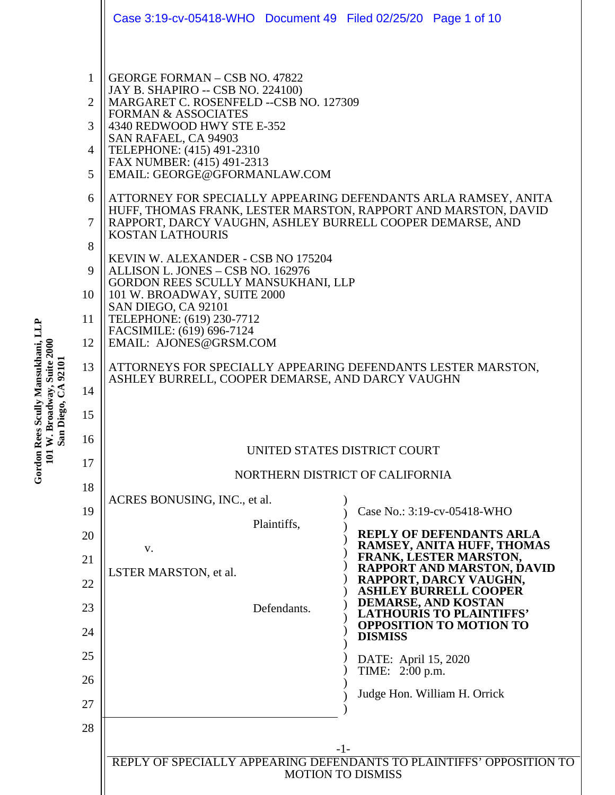|                                               | Case 3:19-cv-05418-WHO Document 49 Filed 02/25/20 Page 1 of 10                                                                                                                                                                                                                                                                                                                                                                                                                                                                                                                                          |  |  |  |  |  |
|-----------------------------------------------|---------------------------------------------------------------------------------------------------------------------------------------------------------------------------------------------------------------------------------------------------------------------------------------------------------------------------------------------------------------------------------------------------------------------------------------------------------------------------------------------------------------------------------------------------------------------------------------------------------|--|--|--|--|--|
| $\mathbf{1}$<br>$\overline{2}$<br>3<br>4<br>5 | GEORGE FORMAN - CSB NO. 47822<br>JAY B. SHAPIRO -- CSB NO. 224100)<br>MARGARET C. ROSENFELD --CSB NO. 127309<br><b>FORMAN &amp; ASSOCIATES</b><br>4340 REDWOOD HWY STE E-352<br>SAN RAFAEL, CA 94903<br>TELEPHONE: (415) 491-2310<br>FAX NUMBER: (415) 491-2313<br>EMAIL: GEORGE@GFORMANLAW.COM                                                                                                                                                                                                                                                                                                         |  |  |  |  |  |
| 6<br>7<br>8                                   | ATTORNEY FOR SPECIALLY APPEARING DEFENDANTS ARLA RAMSEY, ANITA<br>HUFF, THOMAS FRANK, LESTER MARSTON, RAPPORT AND MARSTON, DAVID<br>RAPPORT, DARCY VAUGHN, ASHLEY BURRELL COOPER DEMARSE, AND<br><b>KOSTAN LATHOURIS</b><br>KEVIN W. ALEXANDER - CSB NO 175204<br>ALLISON L. JONES - CSB NO. 162976<br>GORDON REES SCULLY MANSUKHANI, LLP<br>101 W. BROADWAY, SUITE 2000<br>SAN DIEGO, CA 92101<br>TELEPHONE: (619) 230-7712<br>FACSIMILE: (619) 696-7124<br>EMAIL: AJONES@GRSM.COM<br>ATTORNEYS FOR SPECIALLY APPEARING DEFENDANTS LESTER MARSTON,<br>ASHLEY BURRELL, COOPER DEMARSE, AND DARCY VAUGHN |  |  |  |  |  |
| 9<br>10<br>11<br>12                           |                                                                                                                                                                                                                                                                                                                                                                                                                                                                                                                                                                                                         |  |  |  |  |  |
| 13<br>14<br>15                                |                                                                                                                                                                                                                                                                                                                                                                                                                                                                                                                                                                                                         |  |  |  |  |  |
| 16<br>17                                      | UNITED STATES DISTRICT COURT<br>NORTHERN DISTRICT OF CALIFORNIA                                                                                                                                                                                                                                                                                                                                                                                                                                                                                                                                         |  |  |  |  |  |
| 18<br>19<br>20<br>21<br>22<br>23<br>24<br>25  | ACRES BONUSING, INC., et al.<br>Case No.: 3:19-cv-05418-WHO<br>Plaintiffs,<br><b>REPLY OF DEFENDANTS ARLA</b><br>RAMSEY, ANITA HUFF, THOMAS<br>V.<br><b>FRANK, LESTER MARSTON,</b><br><b>RAPPORT AND MARSTON, DAVID</b><br>LSTER MARSTON, et al.<br>RAPPORT, DARCY VAUGHN,<br><b>ASHLEY BURRELL COOPER</b><br>DEMARSE, AND KOSTAN<br>Defendants.<br><b>LATHOURIS TO PLAINTIFFS'</b><br><b>OPPOSITION TO MOTION TO</b><br><b>DISMISS</b><br>DATE: April 15, 2020                                                                                                                                         |  |  |  |  |  |
| 26<br>27<br>28                                | TIME: 2:00 p.m.<br>Judge Hon. William H. Orrick<br>$-1-$                                                                                                                                                                                                                                                                                                                                                                                                                                                                                                                                                |  |  |  |  |  |
|                                               | REPLY OF SPECIALLY APPEARING DEFENDANTS TO PLAINTIFFS' OPPOSITION TO<br><b>MOTION TO DISMISS</b>                                                                                                                                                                                                                                                                                                                                                                                                                                                                                                        |  |  |  |  |  |

**Gordon Rees Scully M a nsu k h a ni, L L P 101 W. Broa d w a y, S u**ite 2000<br>atas **SanDiego, C A 92101**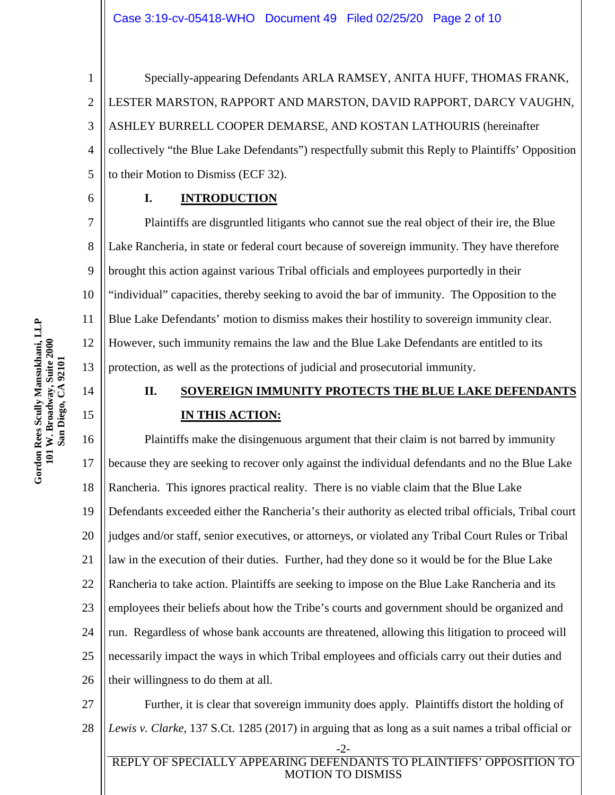1 2 3 4 5 Specially-appearing Defendants ARLA RAMSEY, ANITA HUFF, THOMAS FRANK, LESTER MARSTON, RAPPORT AND MARSTON, DAVID RAPPORT, DARCY VAUGHN, ASHLEY BURRELL COOPER DEMARSE, AND KOSTAN LATHOURIS (hereinafter collectively "the Blue Lake Defendants") respectfully submit this Reply to Plaintiffs' Opposition to their Motion to Dismiss (ECF 32).

# **I. INTRODUCTION**

7 8 9 10 11 12 13 Plaintiffs are disgruntled litigants who cannot sue the real object of their ire, the Blue Lake Rancheria, in state or federal court because of sovereign immunity. They have therefore brought this action against various Tribal officials and employees purportedly in their "individual" capacities, thereby seeking to avoid the bar of immunity. The Opposition to the Blue Lake Defendants' motion to dismiss makes their hostility to sovereign immunity clear. However, such immunity remains the law and the Blue Lake Defendants are entitled to its protection, as well as the protections of judicial and prosecutorial immunity.

# **II. SOVEREIGN IMMUNITY PROTECTS THE BLUE LAKE DEFENDANTS IN THIS ACTION:**

16 17 18 19 20 21 22 23 24 25 26 Plaintiffs make the disingenuous argument that their claim is not barred by immunity because they are seeking to recover only against the individual defendants and no the Blue Lake Rancheria. This ignores practical reality. There is no viable claim that the Blue Lake Defendants exceeded either the Rancheria's their authority as elected tribal officials, Tribal court judges and/or staff, senior executives, or attorneys, or violated any Tribal Court Rules or Tribal law in the execution of their duties. Further, had they done so it would be for the Blue Lake Rancheria to take action. Plaintiffs are seeking to impose on the Blue Lake Rancheria and its employees their beliefs about how the Tribe's courts and government should be organized and run. Regardless of whose bank accounts are threatened, allowing this litigation to proceed will necessarily impact the ways in which Tribal employees and officials carry out their duties and their willingness to do them at all.

27 28 Further, it is clear that sovereign immunity does apply. Plaintiffs distort the holding of *Lewis v. Clarke*, 137 S.Ct. 1285 (2017) in arguing that as long as a suit names a tribal official or

-2- REPLY OF SPECIALLY APPEARING DEFENDANTS TO PLAINTIFFS' OPPOSITION TO MOTION TO DISMISS

14

15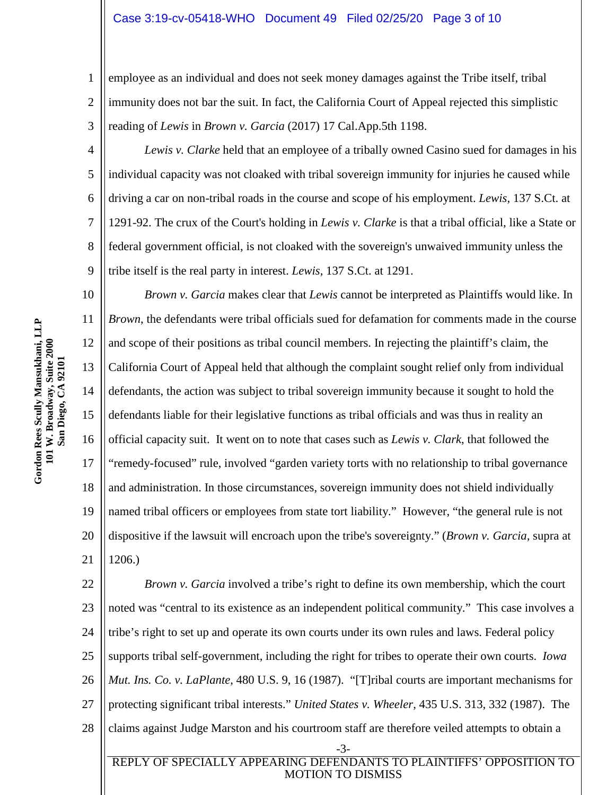## Case 3:19-cv-05418-WHO Document 49 Filed 02/25/20 Page 3 of 10

1 2 3 employee as an individual and does not seek money damages against the Tribe itself, tribal immunity does not bar the suit. In fact, the California Court of Appeal rejected this simplistic reading of *Lewis* in *Brown v. Garcia* (2017) 17 Cal.App.5th 1198.

4 6 8 9 *Lewis v. Clarke* held that an employee of a tribally owned Casino sued for damages in his individual capacity was not cloaked with tribal sovereign immunity for injuries he caused while driving a car on non-tribal roads in the course and scope of his employment. *Lewis,* 137 S.Ct. at 1291-92. The crux of the Court's holding in *Lewis v. Clarke* is that a tribal official, like a State or federal government official, is not cloaked with the sovereign's unwaived immunity unless the tribe itself is the real party in interest. *Lewis,* 137 S.Ct. at 1291.

10 11 12 13 14 15 16 17 18 19 20 21 *Brown v. Garcia* makes clear that *Lewis* cannot be interpreted as Plaintiffs would like. In *Brown*, the defendants were tribal officials sued for defamation for comments made in the course and scope of their positions as tribal council members. In rejecting the plaintiff's claim, the California Court of Appeal held that although the complaint sought relief only from individual defendants, the action was subject to tribal sovereign immunity because it sought to hold the defendants liable for their legislative functions as tribal officials and was thus in reality an official capacity suit. It went on to note that cases such as *Lewis v. Clark*, that followed the "remedy-focused" rule, involved "garden variety torts with no relationship to tribal governance and administration. In those circumstances, sovereign immunity does not shield individually named tribal officers or employees from state tort liability." However, "the general rule is not dispositive if the lawsuit will encroach upon the tribe's sovereignty." (*Brown v. Garcia,* supra at 1206.)

22 23 24 25 26 27 28 -3- REPLY OF SPECIALLY APPEARING DEFENDANTS TO PLAINTIFFS' OPPOSITION TO *Brown v. Garcia* involved a tribe's right to define its own membership, which the court noted was "central to its existence as an independent political community." This case involves a tribe's right to set up and operate its own courts under its own rules and laws. Federal policy supports tribal self-government, including the right for tribes to operate their own courts. *Iowa Mut. Ins. Co. v. LaPlante*, 480 U.S. 9, 16 (1987). "[T]ribal courts are important mechanisms for protecting significant tribal interests." *United States v. Wheeler*, 435 U.S. 313, 332 (1987). The claims against Judge Marston and his courtroom staff are therefore veiled attempts to obtain a

MOTION TO DISMISS

5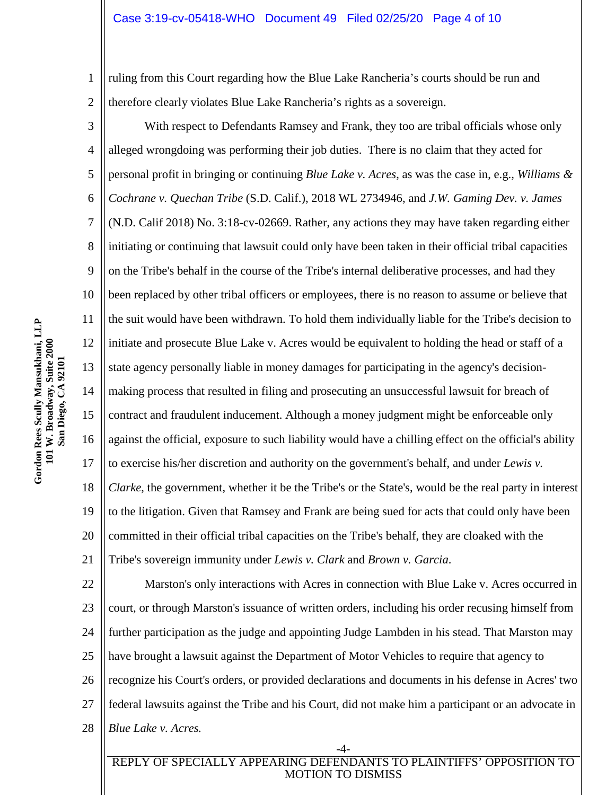## Case 3:19-cv-05418-WHO Document 49 Filed 02/25/20 Page 4 of 10

1 2 ruling from this Court regarding how the Blue Lake Rancheria's courts should be run and therefore clearly violates Blue Lake Rancheria's rights as a sovereign.

3 4 5 6 7 8 9 10 11 12 13 14 15 16 17 18 19 20 21 With respect to Defendants Ramsey and Frank, they too are tribal officials whose only alleged wrongdoing was performing their job duties. There is no claim that they acted for personal profit in bringing or continuing *Blue Lake v. Acres*, as was the case in, e.g.*, Williams & Cochrane v. Quechan Tribe* (S.D. Calif.), 2018 WL 2734946, and *J.W. Gaming Dev. v. James*  (N.D. Calif 2018) No. 3:18-cv-02669. Rather, any actions they may have taken regarding either initiating or continuing that lawsuit could only have been taken in their official tribal capacities on the Tribe's behalf in the course of the Tribe's internal deliberative processes, and had they been replaced by other tribal officers or employees, there is no reason to assume or believe that the suit would have been withdrawn. To hold them individually liable for the Tribe's decision to initiate and prosecute Blue Lake v. Acres would be equivalent to holding the head or staff of a state agency personally liable in money damages for participating in the agency's decisionmaking process that resulted in filing and prosecuting an unsuccessful lawsuit for breach of contract and fraudulent inducement. Although a money judgment might be enforceable only against the official, exposure to such liability would have a chilling effect on the official's ability to exercise his/her discretion and authority on the government's behalf, and under *Lewis v. Clarke*, the government, whether it be the Tribe's or the State's, would be the real party in interest to the litigation. Given that Ramsey and Frank are being sued for acts that could only have been committed in their official tribal capacities on the Tribe's behalf, they are cloaked with the Tribe's sovereign immunity under *Lewis v. Clark* and *Brown v. Garcia*.

22 23 24 25 26 27 28 Marston's only interactions with Acres in connection with Blue Lake v. Acres occurred in court, or through Marston's issuance of written orders, including his order recusing himself from further participation as the judge and appointing Judge Lambden in his stead. That Marston may have brought a lawsuit against the Department of Motor Vehicles to require that agency to recognize his Court's orders, or provided declarations and documents in his defense in Acres' two federal lawsuits against the Tribe and his Court, did not make him a participant or an advocate in *Blue Lake v. Acres.* 

## -4- REPLY OF SPECIALLY APPEARING DEFENDANTS TO PLAINTIFFS' OPPOSITION TO MOTION TO DISMISS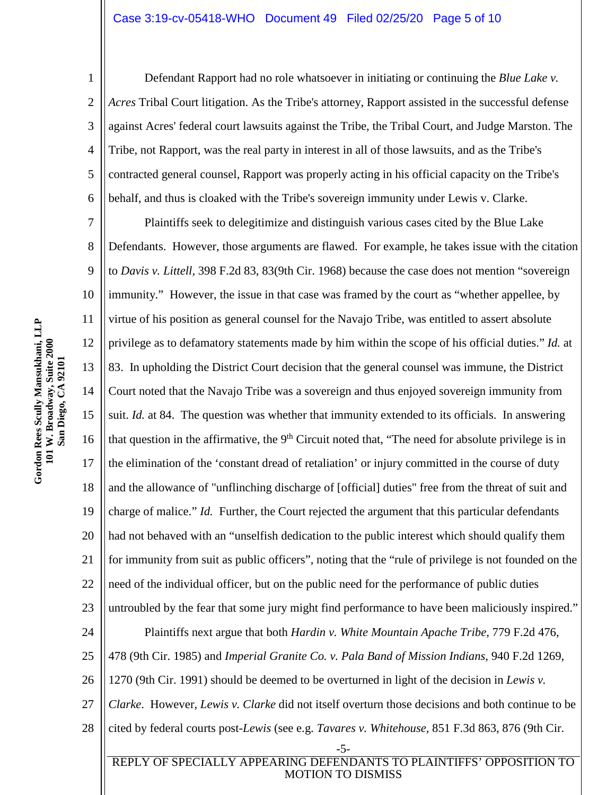#### Case 3:19-cv-05418-WHO Document 49 Filed 02/25/20 Page 5 of 10

1 2 3 4 5 6 Defendant Rapport had no role whatsoever in initiating or continuing the *Blue Lake v. Acres* Tribal Court litigation. As the Tribe's attorney, Rapport assisted in the successful defense against Acres' federal court lawsuits against the Tribe, the Tribal Court, and Judge Marston. The Tribe, not Rapport, was the real party in interest in all of those lawsuits, and as the Tribe's contracted general counsel, Rapport was properly acting in his official capacity on the Tribe's behalf, and thus is cloaked with the Tribe's sovereign immunity under Lewis v. Clarke.

7 8 9 10 11 12 13 14 15 16 17 18 19 20 21 22 23 24 25 26 27 28 -5- Plaintiffs seek to delegitimize and distinguish various cases cited by the Blue Lake Defendants. However, those arguments are flawed. For example, he takes issue with the citation to *Davis v. Littell,* 398 F.2d 83, 83(9th Cir. 1968) because the case does not mention "sovereign immunity." However, the issue in that case was framed by the court as "whether appellee, by virtue of his position as general counsel for the Navajo Tribe, was entitled to assert absolute privilege as to defamatory statements made by him within the scope of his official duties." *Id.* at 83. In upholding the District Court decision that the general counsel was immune, the District Court noted that the Navajo Tribe was a sovereign and thus enjoyed sovereign immunity from suit. *Id.* at 84. The question was whether that immunity extended to its officials. In answering that question in the affirmative, the  $9<sup>th</sup>$  Circuit noted that, "The need for absolute privilege is in the elimination of the 'constant dread of retaliation' or injury committed in the course of duty and the allowance of "unflinching discharge of [official] duties" free from the threat of suit and charge of malice." *Id.* Further, the Court rejected the argument that this particular defendants had not behaved with an "unselfish dedication to the public interest which should qualify them for immunity from suit as public officers", noting that the "rule of privilege is not founded on the need of the individual officer, but on the public need for the performance of public duties untroubled by the fear that some jury might find performance to have been maliciously inspired." Plaintiffs next argue that both *Hardin v. White Mountain Apache Tribe*, 779 F.2d 476, 478 (9th Cir. 1985) and *Imperial Granite Co. v. Pala Band of Mission Indians*, 940 F.2d 1269, 1270 (9th Cir. 1991) should be deemed to be overturned in light of the decision in *Lewis v. Clarke*. However, *Lewis v. Clarke* did not itself overturn those decisions and both continue to be cited by federal courts post-*Lewis* (see e.g. *Tavares v. Whitehouse,* 851 F.3d 863, 876 (9th Cir.

REPLY OF SPECIALLY APPEARING DEFENDANTS TO PLAINTIFFS' OPPOSITION TO MOTION TO DISMISS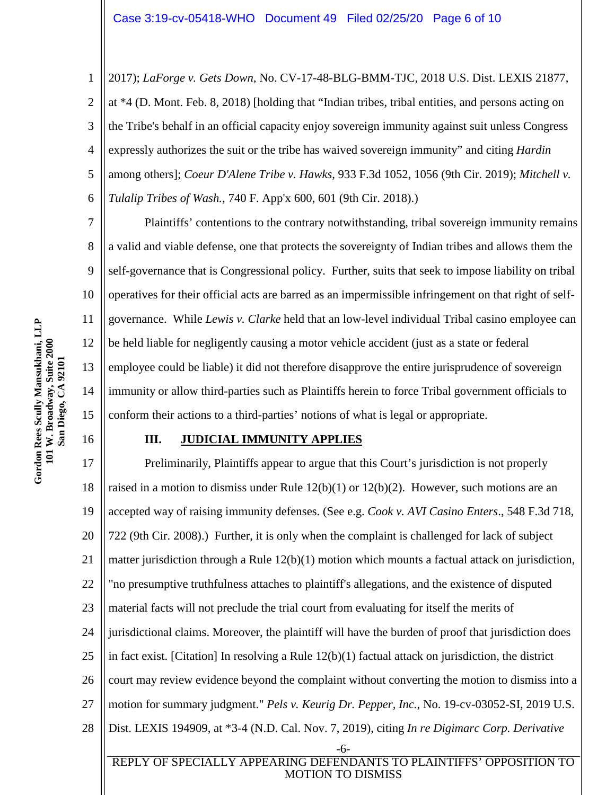1 2 3 4 5 6 2017); *LaForge v. Gets Down*, No. CV-17-48-BLG-BMM-TJC, 2018 U.S. Dist. LEXIS 21877, at \*4 (D. Mont. Feb. 8, 2018) [holding that "Indian tribes, tribal entities, and persons acting on the Tribe's behalf in an official capacity enjoy sovereign immunity against suit unless Congress expressly authorizes the suit or the tribe has waived sovereign immunity" and citing *Hardin*  among others]; *Coeur D'Alene Tribe v. Hawks*, 933 F.3d 1052, 1056 (9th Cir. 2019); *Mitchell v. Tulalip Tribes of Wash.,* 740 F. App'x 600, 601 (9th Cir. 2018).)

7 8 9 10 12 13 14 15 Plaintiffs' contentions to the contrary notwithstanding, tribal sovereign immunity remains a valid and viable defense, one that protects the sovereignty of Indian tribes and allows them the self-governance that is Congressional policy. Further, suits that seek to impose liability on tribal operatives for their official acts are barred as an impermissible infringement on that right of selfgovernance. While *Lewis v. Clarke* held that an low-level individual Tribal casino employee can be held liable for negligently causing a motor vehicle accident (just as a state or federal employee could be liable) it did not therefore disapprove the entire jurisprudence of sovereign immunity or allow third-parties such as Plaintiffs herein to force Tribal government officials to conform their actions to a third-parties' notions of what is legal or appropriate.

## **III. JUDICIAL IMMUNITY APPLIES**

17 18 19 20 21 22 23 24 25 26 27 28 -6- REPLY OF SPECIALLY APPEARING DEFENDANTS TO PLAINTIFFS' OPPOSITION TO Preliminarily, Plaintiffs appear to argue that this Court's jurisdiction is not properly raised in a motion to dismiss under Rule  $12(b)(1)$  or  $12(b)(2)$ . However, such motions are an accepted way of raising immunity defenses. (See e.g. *Cook v. AVI Casino Enters*., 548 F.3d 718, 722 (9th Cir. 2008).) Further, it is only when the complaint is challenged for lack of subject matter jurisdiction through a Rule 12(b)(1) motion which mounts a factual attack on jurisdiction, "no presumptive truthfulness attaches to plaintiff's allegations, and the existence of disputed material facts will not preclude the trial court from evaluating for itself the merits of jurisdictional claims. Moreover, the plaintiff will have the burden of proof that jurisdiction does in fact exist. [Citation] In resolving a Rule 12(b)(1) factual attack on jurisdiction, the district court may review evidence beyond the complaint without converting the motion to dismiss into a motion for summary judgment." *Pels v. Keurig Dr. Pepper, Inc.*, No. 19-cv-03052-SI, 2019 U.S. Dist. LEXIS 194909, at \*3-4 (N.D. Cal. Nov. 7, 2019), citing *In re Digimarc Corp. Derivative* 

MOTION TO DISMISS

11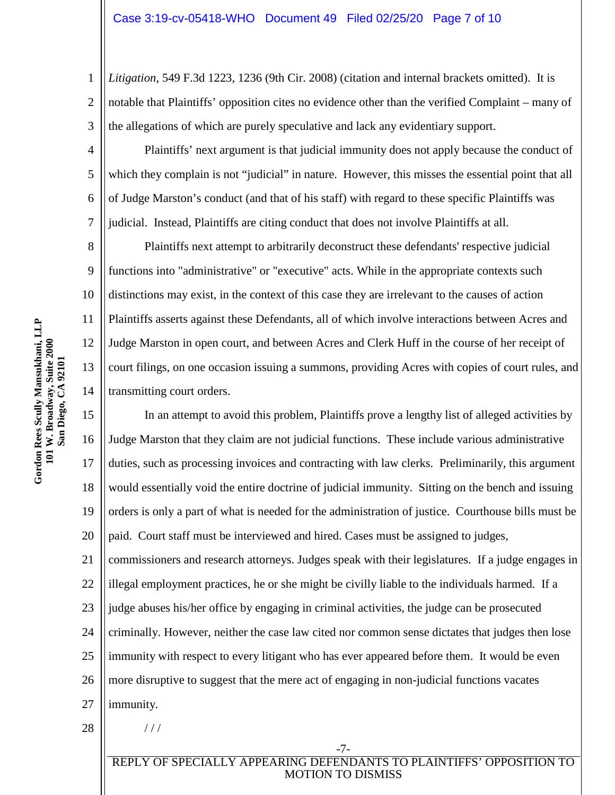1 2 3 *Litigation,* 549 F.3d 1223, 1236 (9th Cir. 2008) (citation and internal brackets omitted). It is notable that Plaintiffs' opposition cites no evidence other than the verified Complaint – many of the allegations of which are purely speculative and lack any evidentiary support.

4 Plaintiffs' next argument is that judicial immunity does not apply because the conduct of which they complain is not "judicial" in nature. However, this misses the essential point that all of Judge Marston's conduct (and that of his staff) with regard to these specific Plaintiffs was judicial. Instead, Plaintiffs are citing conduct that does not involve Plaintiffs at all.

8 9 10 12 13 14 Plaintiffs next attempt to arbitrarily deconstruct these defendants' respective judicial functions into "administrative" or "executive" acts. While in the appropriate contexts such distinctions may exist, in the context of this case they are irrelevant to the causes of action Plaintiffs asserts against these Defendants, all of which involve interactions between Acres and Judge Marston in open court, and between Acres and Clerk Huff in the course of her receipt of court filings, on one occasion issuing a summons, providing Acres with copies of court rules, and transmitting court orders.

15 16 17 18 19 20 In an attempt to avoid this problem, Plaintiffs prove a lengthy list of alleged activities by Judge Marston that they claim are not judicial functions. These include various administrative duties, such as processing invoices and contracting with law clerks. Preliminarily, this argument would essentially void the entire doctrine of judicial immunity. Sitting on the bench and issuing orders is only a part of what is needed for the administration of justice. Courthouse bills must be paid. Court staff must be interviewed and hired. Cases must be assigned to judges,

21 22 23 24 25 commissioners and research attorneys. Judges speak with their legislatures. If a judge engages in illegal employment practices, he or she might be civilly liable to the individuals harmed. If a judge abuses his/her office by engaging in criminal activities, the judge can be prosecuted criminally. However, neither the case law cited nor common sense dictates that judges then lose immunity with respect to every litigant who has ever appeared before them. It would be even

26 27 more disruptive to suggest that the mere act of engaging in non-judicial functions vacates immunity.

- 28
	-

 $1/1$ 

REPLY OF SPECIALLY APPEARING DEFENDANTS TO PLAINTIFFS' OPPOSITION TO MOTION TO DISMISS

-7-

5

6

7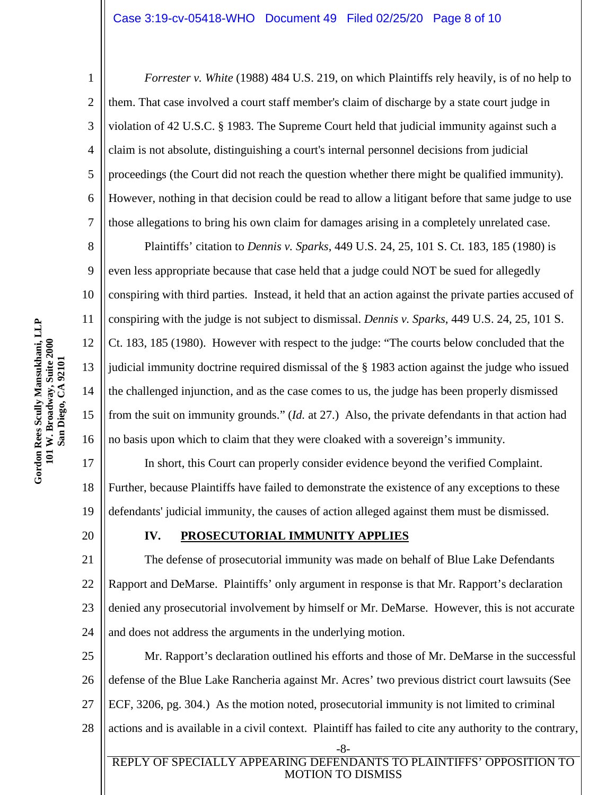20

1 2 3 4 5 6 7 *Forrester v. White* (1988) 484 U.S. 219, on which Plaintiffs rely heavily, is of no help to them. That case involved a court staff member's claim of discharge by a state court judge in violation of 42 U.S.C. § 1983. The Supreme Court held that judicial immunity against such a claim is not absolute, distinguishing a court's internal personnel decisions from judicial proceedings (the Court did not reach the question whether there might be qualified immunity). However, nothing in that decision could be read to allow a litigant before that same judge to use those allegations to bring his own claim for damages arising in a completely unrelated case.

8 9 10 11 12 13 14 15 16 Plaintiffs' citation to *Dennis v. Sparks*, 449 U.S. 24, 25, 101 S. Ct. 183, 185 (1980) is even less appropriate because that case held that a judge could NOT be sued for allegedly conspiring with third parties. Instead, it held that an action against the private parties accused of conspiring with the judge is not subject to dismissal. *Dennis v. Sparks*, 449 U.S. 24, 25, 101 S. Ct. 183, 185 (1980). However with respect to the judge: "The courts below concluded that the judicial immunity doctrine required dismissal of the § 1983 action against the judge who issued the challenged injunction, and as the case comes to us, the judge has been properly dismissed from the suit on immunity grounds." (*Id.* at 27.) Also, the private defendants in that action had no basis upon which to claim that they were cloaked with a sovereign's immunity.

17 18 19 In short, this Court can properly consider evidence beyond the verified Complaint. Further, because Plaintiffs have failed to demonstrate the existence of any exceptions to these defendants' judicial immunity, the causes of action alleged against them must be dismissed.

# **IV. PROSECUTORIAL IMMUNITY APPLIES**

21 22 23 24 The defense of prosecutorial immunity was made on behalf of Blue Lake Defendants Rapport and DeMarse. Plaintiffs' only argument in response is that Mr. Rapport's declaration denied any prosecutorial involvement by himself or Mr. DeMarse. However, this is not accurate and does not address the arguments in the underlying motion.

25 26 27 28 -8- Mr. Rapport's declaration outlined his efforts and those of Mr. DeMarse in the successful defense of the Blue Lake Rancheria against Mr. Acres' two previous district court lawsuits (See ECF, 3206, pg. 304.) As the motion noted, prosecutorial immunity is not limited to criminal actions and is available in a civil context. Plaintiff has failed to cite any authority to the contrary,

REPLY OF SPECIALLY APPEARING DEFENDANTS TO PLAINTIFFS' OPPOSITION TO MOTION TO DISMISS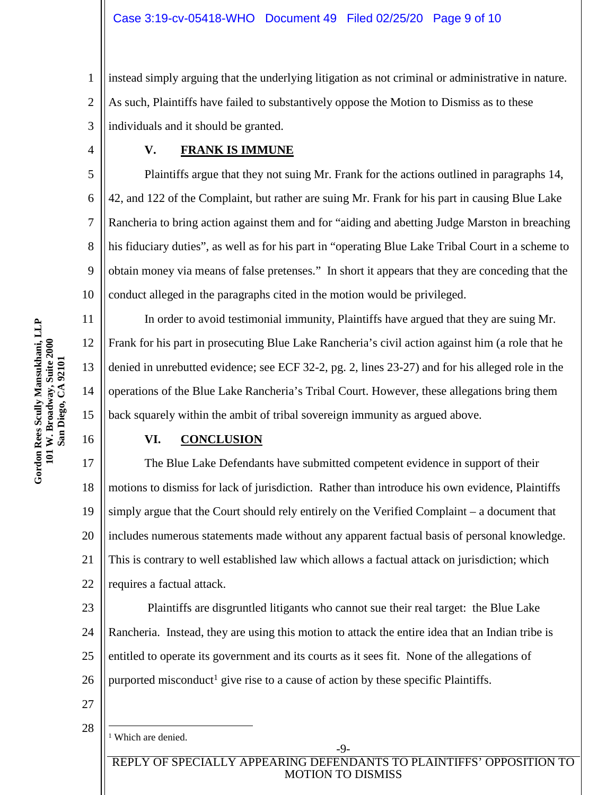1 2 3 instead simply arguing that the underlying litigation as not criminal or administrative in nature. As such, Plaintiffs have failed to substantively oppose the Motion to Dismiss as to these individuals and it should be granted.

4

11

12

13

14

15

16

# **V. FRANK IS IMMUNE**

5 6 7 8 9 10 Plaintiffs argue that they not suing Mr. Frank for the actions outlined in paragraphs 14, 42, and 122 of the Complaint, but rather are suing Mr. Frank for his part in causing Blue Lake Rancheria to bring action against them and for "aiding and abetting Judge Marston in breaching his fiduciary duties", as well as for his part in "operating Blue Lake Tribal Court in a scheme to obtain money via means of false pretenses." In short it appears that they are conceding that the conduct alleged in the paragraphs cited in the motion would be privileged.

In order to avoid testimonial immunity, Plaintiffs have argued that they are suing Mr. Frank for his part in prosecuting Blue Lake Rancheria's civil action against him (a role that he denied in unrebutted evidence; see ECF 32-2, pg. 2, lines 23-27) and for his alleged role in the operations of the Blue Lake Rancheria's Tribal Court. However, these allegations bring them back squarely within the ambit of tribal sovereign immunity as argued above.

## **VI. CONCLUSION**

17 18 19 20 21 22 The Blue Lake Defendants have submitted competent evidence in support of their motions to dismiss for lack of jurisdiction. Rather than introduce his own evidence, Plaintiffs simply argue that the Court should rely entirely on the Verified Complaint – a document that includes numerous statements made without any apparent factual basis of personal knowledge. This is contrary to well established law which allows a factual attack on jurisdiction; which requires a factual attack.

23 24 25 26 Plaintiffs are disgruntled litigants who cannot sue their real target: the Blue Lake Rancheria. Instead, they are using this motion to attack the entire idea that an Indian tribe is entitled to operate its government and its courts as it sees fit. None of the allegations of purported misconduct<sup>[1](#page-8-0)</sup> give rise to a cause of action by these specific Plaintiffs.

27

28 <sup>1</sup> Which are denied.

> <span id="page-8-0"></span>REPLY OF SPECIALLY APPEARING DEFENDANTS TO PLAINTIFFS' OPPOSITION TO MOTION TO DISMISS

-9-